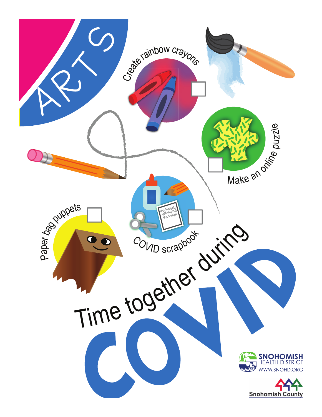